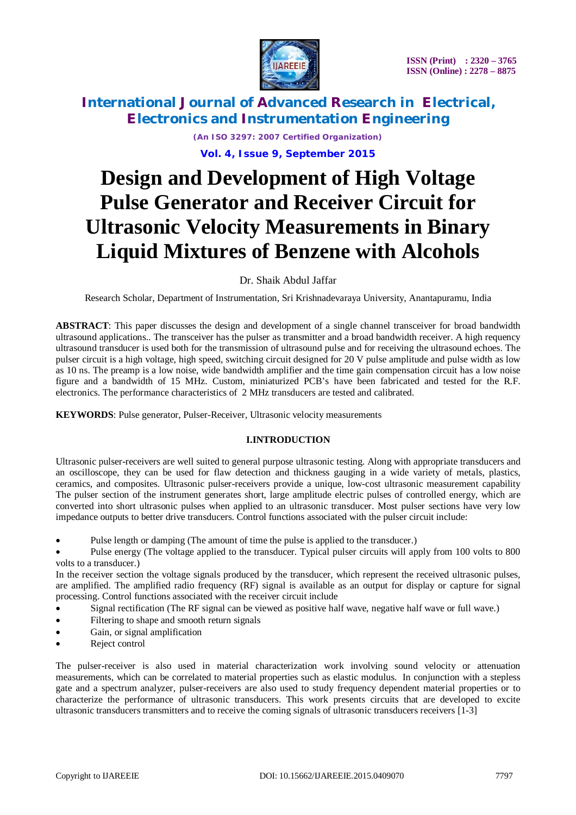

*(An ISO 3297: 2007 Certified Organization)* **Vol. 4, Issue 9, September 2015**

# **Design and Development of High Voltage Pulse Generator and Receiver Circuit for Ultrasonic Velocity Measurements in Binary Liquid Mixtures of Benzene with Alcohols**

Dr. Shaik Abdul Jaffar

Research Scholar, Department of Instrumentation, Sri Krishnadevaraya University, Anantapuramu, India

**ABSTRACT**: This paper discusses the design and development of a single channel transceiver for broad bandwidth ultrasound applications.. The transceiver has the pulser as transmitter and a broad bandwidth receiver. A high requency ultrasound transducer is used both for the transmission of ultrasound pulse and for receiving the ultrasound echoes. The pulser circuit is a high voltage, high speed, switching circuit designed for 20 V pulse amplitude and pulse width as low as 10 ns. The preamp is a low noise, wide bandwidth amplifier and the time gain compensation circuit has a low noise figure and a bandwidth of 15 MHz. Custom, miniaturized PCB's have been fabricated and tested for the R.F. electronics. The performance characteristics of 2 MHz transducers are tested and calibrated.

**KEYWORDS**: Pulse generator, Pulser-Receiver, Ultrasonic velocity measurements

### **I.INTRODUCTION**

Ultrasonic pulser-receivers are well suited to general purpose ultrasonic testing. Along with appropriate transducers and an oscilloscope, they can be used for flaw detection and thickness gauging in a wide variety of metals, plastics, ceramics, and composites. Ultrasonic pulser-receivers provide a unique, low-cost ultrasonic measurement capability The pulser section of the instrument generates short, large amplitude electric pulses of controlled energy, which are converted into short ultrasonic pulses when applied to an ultrasonic transducer. Most pulser sections have very low impedance outputs to better drive transducers. Control functions associated with the pulser circuit include:

- Pulse length or damping (The amount of time the pulse is applied to the transducer.)
- Pulse energy (The voltage applied to the transducer. Typical pulser circuits will apply from 100 volts to 800 volts to a transducer.)

In the receiver section the voltage signals produced by the transducer, which represent the received ultrasonic pulses, are amplified. The amplified radio frequency (RF) signal is available as an output for display or capture for signal processing. Control functions associated with the receiver circuit include

- Signal rectification (The RF signal can be viewed as positive half wave, negative half wave or full wave.)
- Filtering to shape and smooth return signals
- Gain, or signal amplification
- Reject control

The pulser-receiver is also used in material characterization work involving sound velocity or attenuation measurements, which can be correlated to material properties such as elastic modulus. In conjunction with a stepless gate and a spectrum analyzer, pulser-receivers are also used to study frequency dependent material properties or to characterize the performance of ultrasonic transducers. This work presents circuits that are developed to excite ultrasonic transducers transmitters and to receive the coming signals of ultrasonic transducers receivers [1-3]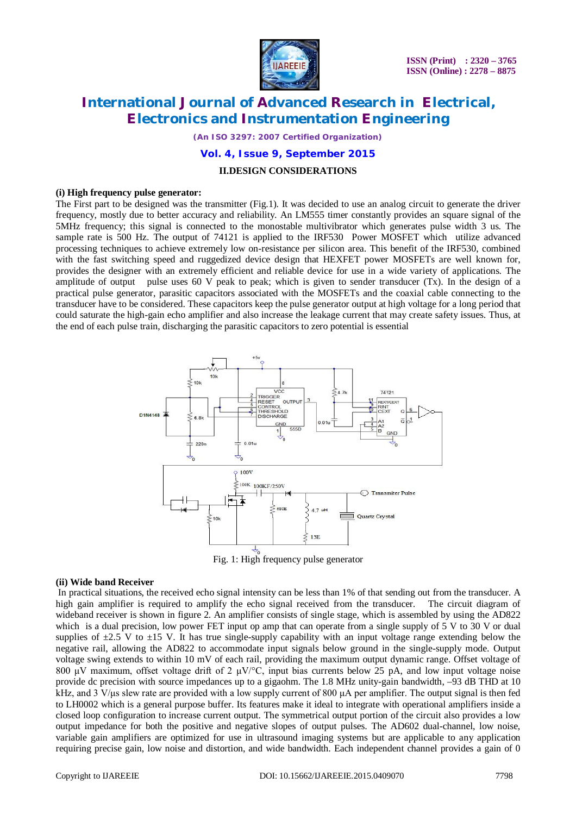

*(An ISO 3297: 2007 Certified Organization)*

**Vol. 4, Issue 9, September 2015**

#### **II.DESIGN CONSIDERATIONS**

#### **(i) High frequency pulse generator:**

The First part to be designed was the transmitter (Fig.1). It was decided to use an analog circuit to generate the driver frequency, mostly due to better accuracy and reliability. An LM555 timer constantly provides an square signal of the 5MHz frequency; this signal is connected to the monostable multivibrator which generates pulse width 3 us. The sample rate is 500 Hz. The output of 74121 is applied to the IRF530 Power MOSFET which utilize advanced processing techniques to achieve extremely low on-resistance per silicon area. This benefit of the IRF530, combined with the fast switching speed and ruggedized device design that HEXFET power MOSFETs are well known for, provides the designer with an extremely efficient and reliable device for use in a wide variety of applications. The amplitude of output pulse uses 60 V peak to peak; which is given to sender transducer  $(Tx)$ . In the design of a practical pulse generator, parasitic capacitors associated with the MOSFETs and the coaxial cable connecting to the transducer have to be considered. These capacitors keep the pulse generator output at high voltage for a long period that could saturate the high-gain echo amplifier and also increase the leakage current that may create safety issues. Thus, at the end of each pulse train, discharging the parasitic capacitors to zero potential is essential



Fig. 1: High frequency pulse generator

#### **(ii) Wide band Receiver**

In practical situations, the received echo signal intensity can be less than 1% of that sending out from the transducer. A high gain amplifier is required to amplify the echo signal received from the transducer. The circuit diagram of wideband receiver is shown in figure 2. An amplifier consists of single stage, which is assembled by using the AD822 which is a dual precision, low power FET input op amp that can operate from a single supply of 5 V to 30 V or dual supplies of  $\pm 2.5$  V to  $\pm 15$  V. It has true single-supply capability with an input voltage range extending below the negative rail, allowing the AD822 to accommodate input signals below ground in the single-supply mode. Output voltage swing extends to within 10 mV of each rail, providing the maximum output dynamic range. Offset voltage of 800 μV maximum, offset voltage drift of 2  $\mu$ V/°C, input bias currents below 25 pA, and low input voltage noise provide dc precision with source impedances up to a gigaohm. The 1.8 MHz unity-gain bandwidth, –93 dB THD at 10 kHz, and 3 V/μs slew rate are provided with a low supply current of 800  $\mu$ A per amplifier. The output signal is then fed to LH0002 which is a general purpose buffer. Its features make it ideal to integrate with operational amplifiers inside a closed loop configuration to increase current output. The symmetrical output portion of the circuit also provides a low output impedance for both the positive and negative slopes of output pulses. The AD602 dual-channel, low noise, variable gain amplifiers are optimized for use in ultrasound imaging systems but are applicable to any application requiring precise gain, low noise and distortion, and wide bandwidth. Each independent channel provides a gain of 0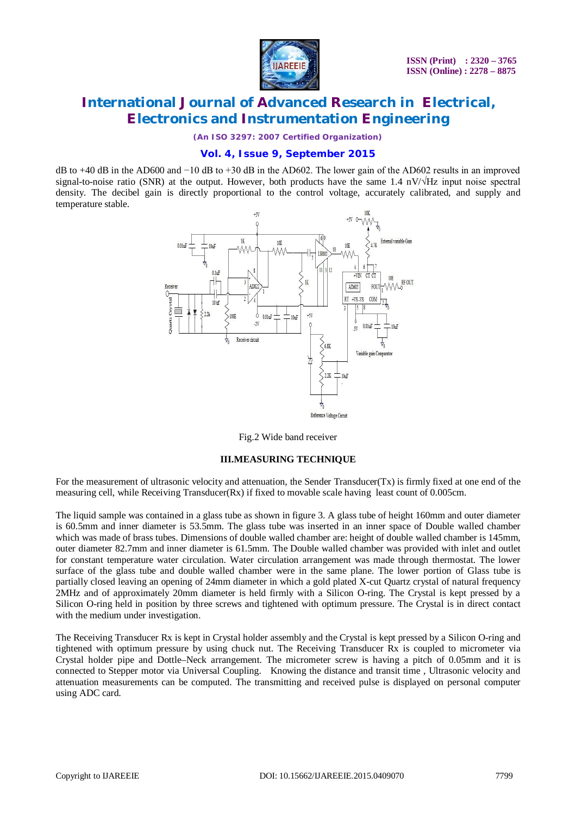

*(An ISO 3297: 2007 Certified Organization)*

### **Vol. 4, Issue 9, September 2015**

dB to +40 dB in the AD600 and −10 dB to +30 dB in the AD602. The lower gain of the AD602 results in an improved signal-to-noise ratio (SNR) at the output. However, both products have the same 1.4 nV/√Hz input noise spectral density. The decibel gain is directly proportional to the control voltage, accurately calibrated, and supply and temperature stable.



Fig.2 Wide band receiver

#### **III.MEASURING TECHNIQUE**

For the measurement of ultrasonic velocity and attenuation, the Sender Transducer(Tx) is firmly fixed at one end of the measuring cell, while Receiving Transducer $(Rx)$  if fixed to movable scale having least count of 0.005cm.

The liquid sample was contained in a glass tube as shown in figure 3. A glass tube of height 160mm and outer diameter is 60.5mm and inner diameter is 53.5mm. The glass tube was inserted in an inner space of Double walled chamber which was made of brass tubes. Dimensions of double walled chamber are: height of double walled chamber is 145mm, outer diameter 82.7mm and inner diameter is 61.5mm. The Double walled chamber was provided with inlet and outlet for constant temperature water circulation. Water circulation arrangement was made through thermostat. The lower surface of the glass tube and double walled chamber were in the same plane. The lower portion of Glass tube is partially closed leaving an opening of 24mm diameter in which a gold plated X-cut Quartz crystal of natural frequency 2MHz and of approximately 20mm diameter is held firmly with a Silicon O-ring. The Crystal is kept pressed by a Silicon O-ring held in position by three screws and tightened with optimum pressure. The Crystal is in direct contact with the medium under investigation.

The Receiving Transducer Rx is kept in Crystal holder assembly and the Crystal is kept pressed by a Silicon O-ring and tightened with optimum pressure by using chuck nut. The Receiving Transducer Rx is coupled to micrometer via Crystal holder pipe and Dottle–Neck arrangement. The micrometer screw is having a pitch of 0.05mm and it is connected to Stepper motor via Universal Coupling. Knowing the distance and transit time , Ultrasonic velocity and attenuation measurements can be computed. The transmitting and received pulse is displayed on personal computer using ADC card.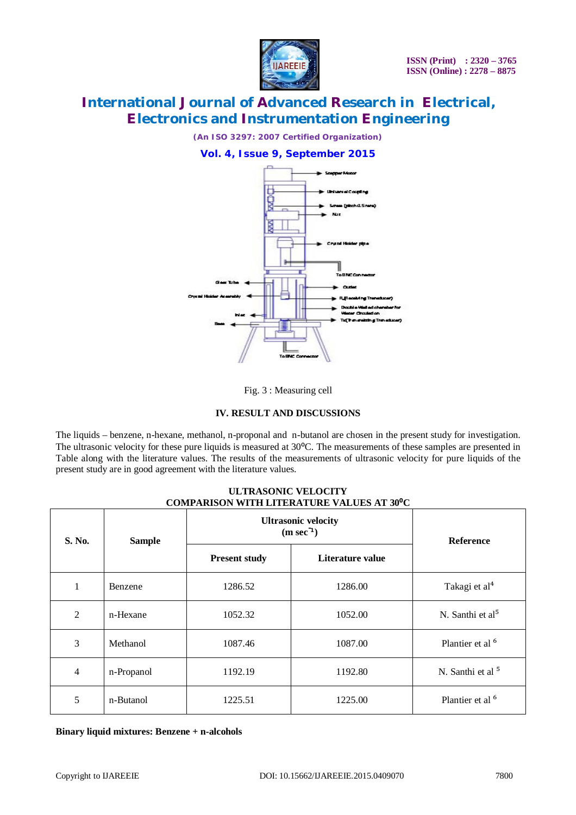

*(An ISO 3297: 2007 Certified Organization)*

### **Vol. 4, Issue 9, September 2015**





### **IV. RESULT AND DISCUSSIONS**

The liquids – benzene, n-hexane, methanol, n-proponal and n-butanol are chosen in the present study for investigation. The ultrasonic velocity for these pure liquids is measured at 30°C. The measurements of these samples are presented in Table along with the literature values. The results of the measurements of ultrasonic velocity for pure liquids of the present study are in good agreement with the literature values.

### **ULTRASONIC VELOCITY COMPARISON WITH LITERATURE VALUES AT 30⁰C**

| S. No.         | <b>Sample</b> | <b>Ultrasonic velocity</b><br>$(m \sec^{-1})$ | <b>Reference</b> |                              |
|----------------|---------------|-----------------------------------------------|------------------|------------------------------|
|                |               | <b>Present study</b>                          | Literature value |                              |
| 1              | Benzene       | 1286.52                                       | 1286.00          | Takagi et al <sup>4</sup>    |
| $\overline{2}$ | n-Hexane      | 1052.32                                       | 1052.00          | N. Santhi et $al5$           |
| 3              | Methanol      | 1087.46                                       | 1087.00          | Plantier et al <sup>6</sup>  |
| $\overline{4}$ | n-Propanol    | 1192.19                                       | 1192.80          | N. Santhi et al <sup>5</sup> |
| 5              | n-Butanol     | 1225.51                                       | 1225.00          | Plantier et al <sup>6</sup>  |

**Binary liquid mixtures: Benzene + n-alcohols**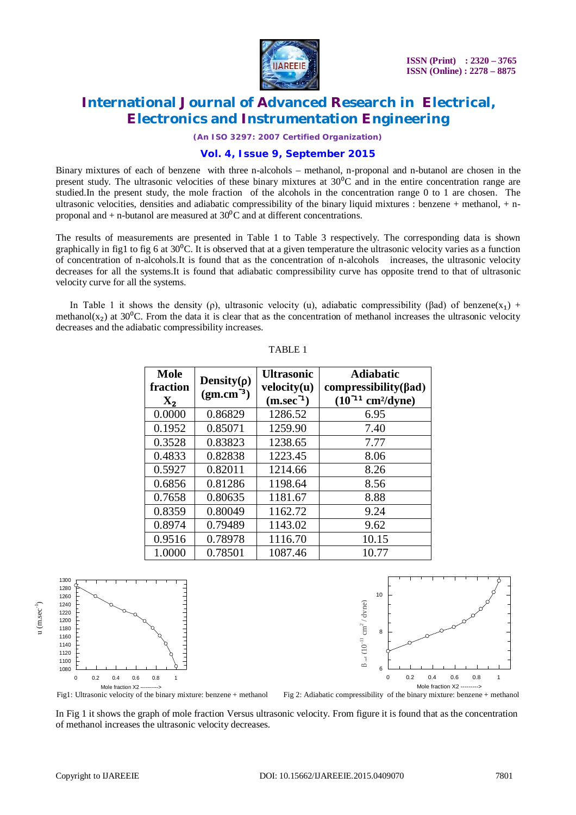

*(An ISO 3297: 2007 Certified Organization)*

### **Vol. 4, Issue 9, September 2015**

Binary mixtures of each of benzene with three n-alcohols – methanol, n-proponal and n-butanol are chosen in the present study. The ultrasonic velocities of these binary mixtures at  $30^{\circ}$ C and in the entire concentration range are studied.In the present study, the mole fraction of the alcohols in the concentration range 0 to 1 are chosen. The ultrasonic velocities, densities and adiabatic compressibility of the binary liquid mixtures : benzene + methanol, + nproponal and  $+$  n-butanol are measured at 30 $\mathrm{^{0}C}$  and at different concentrations.

The results of measurements are presented in Table 1 to Table 3 respectively. The corresponding data is shown graphically in fig1 to fig 6 at  $30^{\circ}$ C. It is observed that at a given temperature the ultrasonic velocity varies as a function of concentration of n-alcohols.It is found that as the concentration of n-alcohols increases, the ultrasonic velocity decreases for all the systems.It is found that adiabatic compressibility curve has opposite trend to that of ultrasonic velocity curve for all the systems.

In Table 1 it shows the density (ρ), ultrasonic velocity (u), adiabatic compressibility (βad) of benzene(x<sub>1</sub>) + methanol( $x_2$ ) at 30<sup>o</sup>C. From the data it is clear that as the concentration of methanol increases the ultrasonic velocity decreases and the adiabatic compressibility increases.

| Mole<br>fraction<br>$X_2$ | Density( $\rho$ )<br>$(gm.cm^{-3})$ | <b>Ultrasonic</b><br>velocity(u)<br>$(m/sec-1)$ | <b>Adiabatic</b><br>$compressibility(\beta ad)$<br>$(10^{-11}$ cm <sup>2</sup> /dyne) |
|---------------------------|-------------------------------------|-------------------------------------------------|---------------------------------------------------------------------------------------|
| 0.0000                    | 0.86829                             | 1286.52                                         | 6.95                                                                                  |
| 0.1952                    | 0.85071                             | 1259.90                                         | 7.40                                                                                  |
| 0.3528                    | 0.83823                             | 1238.65                                         | 7.77                                                                                  |
| 0.4833                    | 0.82838                             | 1223.45                                         | 8.06                                                                                  |
| 0.5927                    | 0.82011                             | 1214.66                                         | 8.26                                                                                  |
| 0.6856                    | 0.81286                             | 1198.64                                         | 8.56                                                                                  |
| 0.7658                    | 0.80635                             | 1181.67                                         | 8.88                                                                                  |
| 0.8359                    | 0.80049                             | 1162.72                                         | 9.24                                                                                  |
| 0.8974                    | 0.79489                             | 1143.02                                         | 9.62                                                                                  |
| 0.9516                    | 0.78978                             | 1116.70                                         | 10.15                                                                                 |
| 1.0000                    | 0.78501                             | 1087.46                                         | 10.77                                                                                 |

### TABLE 1



In Fig 1 it shows the graph of mole fraction Versus ultrasonic velocity. From figure it is found that as the concentration of methanol increases the ultrasonic velocity decreases.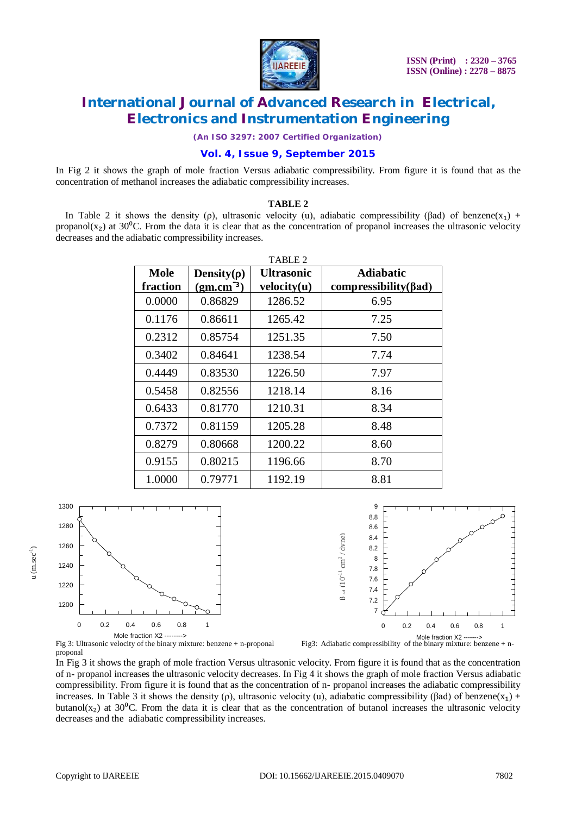

*(An ISO 3297: 2007 Certified Organization)*

### **Vol. 4, Issue 9, September 2015**

In Fig 2 it shows the graph of mole fraction Versus adiabatic compressibility. From figure it is found that as the concentration of methanol increases the adiabatic compressibility increases.

#### **TABLE 2**

In Table 2 it shows the density (ρ), ultrasonic velocity (u), adiabatic compressibility (βad) of benzene(x<sub>1</sub>) + propanol( $x<sub>2</sub>$ ) at 30<sup>o</sup>C. From the data it is clear that as the concentration of propanol increases the ultrasonic velocity decreases and the adiabatic compressibility increases.

| TABLE 2  |                   |                   |                              |  |  |
|----------|-------------------|-------------------|------------------------------|--|--|
| Mole     | Density( $\rho$ ) | <b>Ultrasonic</b> | <b>Adiabatic</b>             |  |  |
| fraction | $(gm.cm^{-3})$    | velocity(u)       | compressibility( $\beta$ ad) |  |  |
| 0.0000   | 0.86829           | 1286.52           | 6.95                         |  |  |
| 0.1176   | 0.86611           | 1265.42           | 7.25                         |  |  |
| 0.2312   | 0.85754           | 1251.35           | 7.50                         |  |  |
| 0.3402   | 0.84641           | 1238.54           | 7.74                         |  |  |
| 0.4449   | 0.83530           | 1226.50           | 7.97                         |  |  |
| 0.5458   | 0.82556           | 1218.14           | 8.16                         |  |  |
| 0.6433   | 0.81770           | 1210.31           | 8.34                         |  |  |
| 0.7372   | 0.81159           | 1205.28           | 8.48                         |  |  |
| 0.8279   | 0.80668           | 1200.22           | 8.60                         |  |  |
| 0.9155   | 0.80215           | 1196.66           | 8.70                         |  |  |
| 1.0000   | 0.79771           | 1192.19           | 8.81                         |  |  |







proponal In Fig 3 it shows the graph of mole fraction Versus ultrasonic velocity. From figure it is found that as the concentration of n- propanol increases the ultrasonic velocity decreases. In Fig 4 it shows the graph of mole fraction Versus adiabatic compressibility. From figure it is found that as the concentration of n- propanol increases the adiabatic compressibility increases. In Table 3 it shows the density (ρ), ultrasonic velocity (u), adiabatic compressibility (βad) of benzene(x<sub>1</sub>) + butanol( $x_2$ ) at 30<sup>o</sup>C. From the data it is clear that as the concentration of butanol increases the ultrasonic velocity decreases and the adiabatic compressibility increases.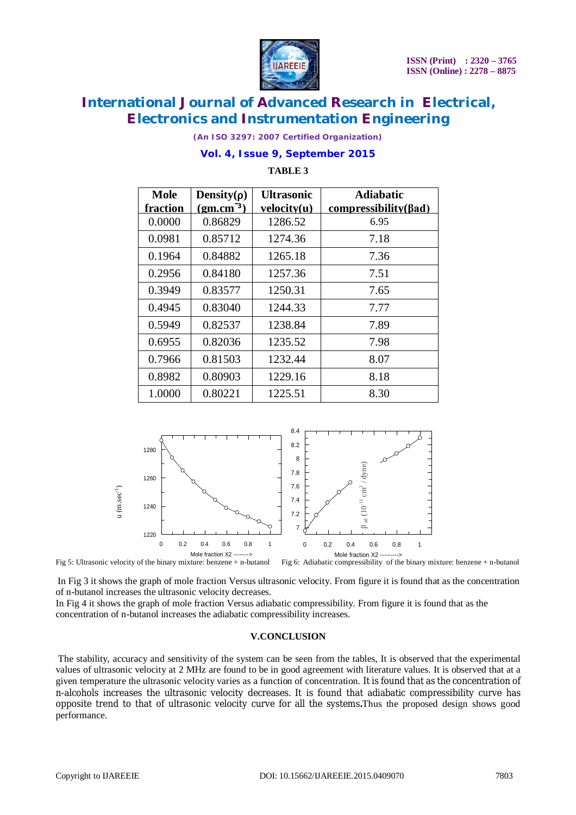

*(An ISO 3297: 2007 Certified Organization)*

### **Vol. 4, Issue 9, September 2015**

**TABLE 3**

| Mole     | Density( $\rho$ ) | <b>Ultrasonic</b> | <b>Adiabatic</b>             |
|----------|-------------------|-------------------|------------------------------|
| fraction | $(gm.cm^{-3})$    | velocity(u)       | compressibility( $\beta$ ad) |
| 0.0000   | 0.86829           | 1286.52           | 6.95                         |
| 0.0981   | 0.85712           | 1274.36           | 7.18                         |
| 0.1964   | 0.84882           | 1265.18           | 7.36                         |
| 0.2956   | 0.84180           | 1257.36           | 7.51                         |
| 0.3949   | 0.83577           | 1250.31           | 7.65                         |
| 0.4945   | 0.83040           | 1244.33           | 7.77                         |
| 0.5949   | 0.82537           | 1238.84           | 7.89                         |
| 0.6955   | 0.82036           | 1235.52           | 7.98                         |
| 0.7966   | 0.81503           | 1232.44           | 8.07                         |
| 0.8982   | 0.80903           | 1229.16           | 8.18                         |
| 1.0000   | 0.80221           | 1225.51           | 8.30                         |



Fig 5: Ultrasonic velocity of the binary mixture: benzene + n-butanol Fig 6: Adiabatic compressibility of the binary mixture: benzene + n-butanol

In Fig 3 it shows the graph of mole fraction Versus ultrasonic velocity. From figure it is found that as the concentration of n-butanol increases the ultrasonic velocity decreases.

In Fig 4 it shows the graph of mole fraction Versus adiabatic compressibility. From figure it is found that as the concentration of n-butanol increases the adiabatic compressibility increases.

#### **V.CONCLUSION**

The stability, accuracy and sensitivity of the system can be seen from the tables, It is observed that the experimental values of ultrasonic velocity at 2 MHz are found to be in good agreement with literature values. It is observed that at a given temperature the ultrasonic velocity varies as a function of concentration. It is found that as the concentration of n-alcohols increases the ultrasonic velocity decreases. It is found that adiabatic compressibility curve has opposite trend to that of ultrasonic velocity curve for all the systems**.**Thus the proposed design shows good performance.